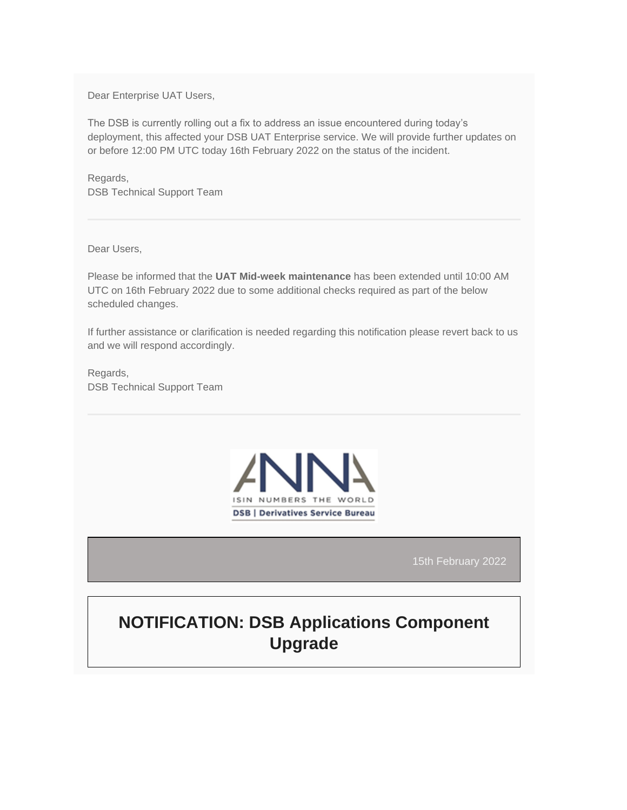Dear Enterprise UAT Users,

The DSB is currently rolling out a fix to address an issue encountered during today's deployment, this affected your DSB UAT Enterprise service. We will provide further updates on or before 12:00 PM UTC today 16th February 2022 on the status of the incident.

Regards, DSB Technical Support Team

Dear Users,

Please be informed that the **UAT Mid-week maintenance** has been extended until 10:00 AM UTC on 16th February 2022 due to some additional checks required as part of the below scheduled changes.

If further assistance or clarification is needed regarding this notification please revert back to us and we will respond accordingly.

Regards, DSB Technical Support Team



15th February 2022

# **NOTIFICATION: DSB Applications Component Upgrade**